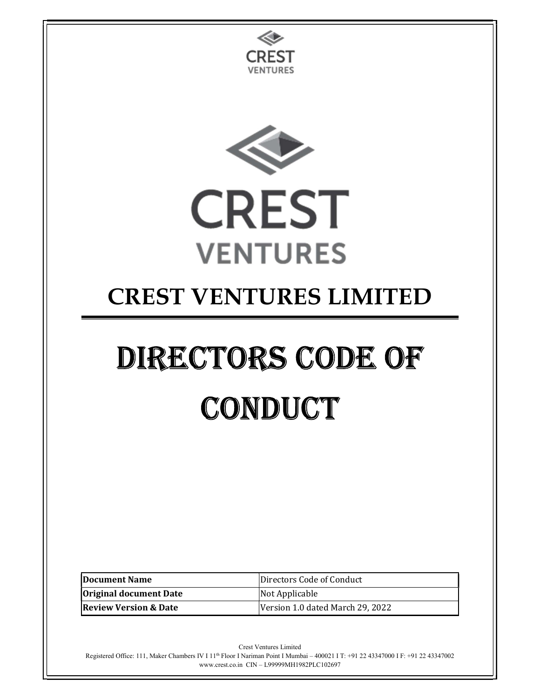

Registered Office: 111, Maker Chambers IV I 11th Floor I Nariman Point I Mumbai – 400021 I T: +91 22 43347000 I F: +91 22 43347002 www.crest.co.in CIN – L99999MH1982PLC102697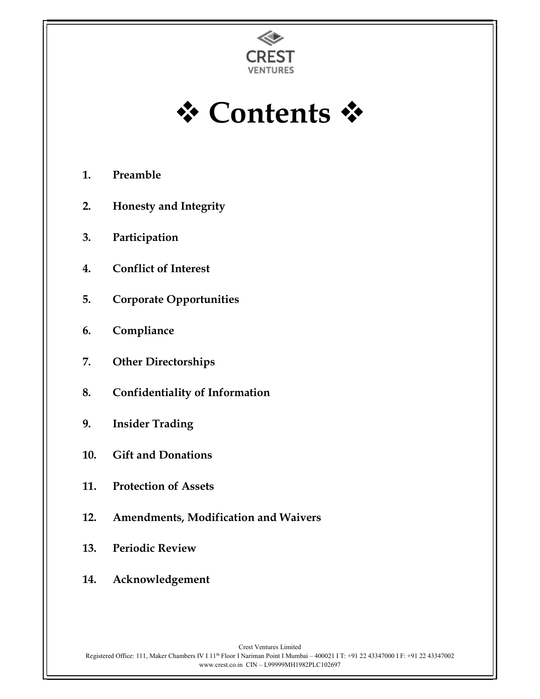

† Contents †

- 1. Preamble
- 2. Honesty and Integrity
- 3. Participation
- 4. Conflict of Interest
- 5. Corporate Opportunities
- 6. Compliance
- 7. Other Directorships
- 8. Confidentiality of Information
- 9. Insider Trading
- 10. Gift and Donations
- 11. Protection of Assets
- 12. Amendments, Modification and Waivers
- 13. Periodic Review
- 14. Acknowledgement

Crest Ventures Limited Registered Office: 111, Maker Chambers IV I 11th Floor I Nariman Point I Mumbai – 400021 I T: +91 22 43347000 I F: +91 22 43347002 www.crest.co.in CIN – L99999MH1982PLC102697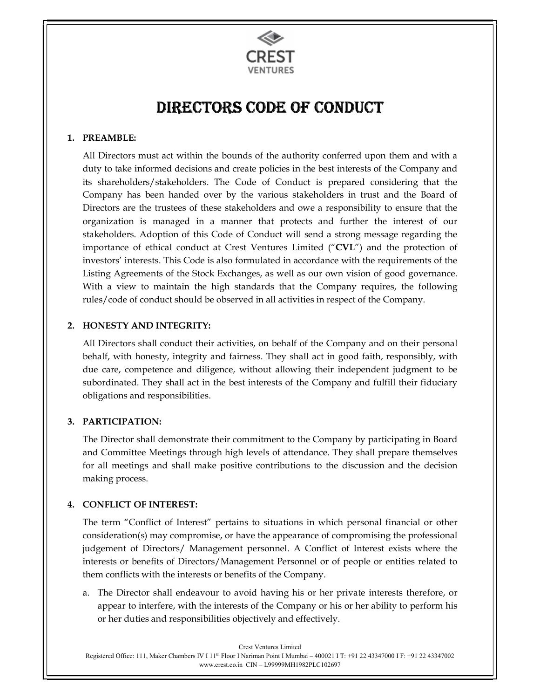

# DIRECTORS CODE OF CONDUCT

## 1. PREAMBLE:

All Directors must act within the bounds of the authority conferred upon them and with a duty to take informed decisions and create policies in the best interests of the Company and its shareholders/stakeholders. The Code of Conduct is prepared considering that the Company has been handed over by the various stakeholders in trust and the Board of Directors are the trustees of these stakeholders and owe a responsibility to ensure that the organization is managed in a manner that protects and further the interest of our stakeholders. Adoption of this Code of Conduct will send a strong message regarding the importance of ethical conduct at Crest Ventures Limited ("CVL") and the protection of investors' interests. This Code is also formulated in accordance with the requirements of the Listing Agreements of the Stock Exchanges, as well as our own vision of good governance. With a view to maintain the high standards that the Company requires, the following rules/code of conduct should be observed in all activities in respect of the Company.

## 2. HONESTY AND INTEGRITY:

All Directors shall conduct their activities, on behalf of the Company and on their personal behalf, with honesty, integrity and fairness. They shall act in good faith, responsibly, with due care, competence and diligence, without allowing their independent judgment to be subordinated. They shall act in the best interests of the Company and fulfill their fiduciary obligations and responsibilities.

# 3. PARTICIPATION:

The Director shall demonstrate their commitment to the Company by participating in Board and Committee Meetings through high levels of attendance. They shall prepare themselves for all meetings and shall make positive contributions to the discussion and the decision making process.

# 4. CONFLICT OF INTEREST:

The term "Conflict of Interest" pertains to situations in which personal financial or other consideration(s) may compromise, or have the appearance of compromising the professional judgement of Directors/ Management personnel. A Conflict of Interest exists where the interests or benefits of Directors/Management Personnel or of people or entities related to them conflicts with the interests or benefits of the Company.

a. The Director shall endeavour to avoid having his or her private interests therefore, or appear to interfere, with the interests of the Company or his or her ability to perform his or her duties and responsibilities objectively and effectively.

Crest Ventures Limited Registered Office: 111, Maker Chambers IV I 11th Floor I Nariman Point I Mumbai – 400021 I T: +91 22 43347000 I F: +91 22 43347002 www.crest.co.in CIN – L99999MH1982PLC102697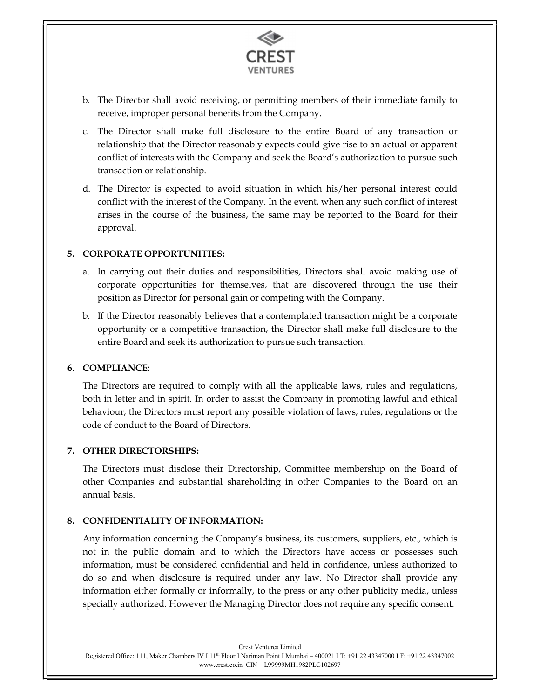

- b. The Director shall avoid receiving, or permitting members of their immediate family to receive, improper personal benefits from the Company.
- c. The Director shall make full disclosure to the entire Board of any transaction or relationship that the Director reasonably expects could give rise to an actual or apparent conflict of interests with the Company and seek the Board's authorization to pursue such transaction or relationship.
- d. The Director is expected to avoid situation in which his/her personal interest could conflict with the interest of the Company. In the event, when any such conflict of interest arises in the course of the business, the same may be reported to the Board for their approval.

#### 5. CORPORATE OPPORTUNITIES:

- a. In carrying out their duties and responsibilities, Directors shall avoid making use of corporate opportunities for themselves, that are discovered through the use their position as Director for personal gain or competing with the Company.
- b. If the Director reasonably believes that a contemplated transaction might be a corporate opportunity or a competitive transaction, the Director shall make full disclosure to the entire Board and seek its authorization to pursue such transaction.

#### 6. COMPLIANCE:

The Directors are required to comply with all the applicable laws, rules and regulations, both in letter and in spirit. In order to assist the Company in promoting lawful and ethical behaviour, the Directors must report any possible violation of laws, rules, regulations or the code of conduct to the Board of Directors.

#### 7. OTHER DIRECTORSHIPS:

The Directors must disclose their Directorship, Committee membership on the Board of other Companies and substantial shareholding in other Companies to the Board on an annual basis.

#### 8. CONFIDENTIALITY OF INFORMATION:

Any information concerning the Company's business, its customers, suppliers, etc., which is not in the public domain and to which the Directors have access or possesses such information, must be considered confidential and held in confidence, unless authorized to do so and when disclosure is required under any law. No Director shall provide any information either formally or informally, to the press or any other publicity media, unless specially authorized. However the Managing Director does not require any specific consent.